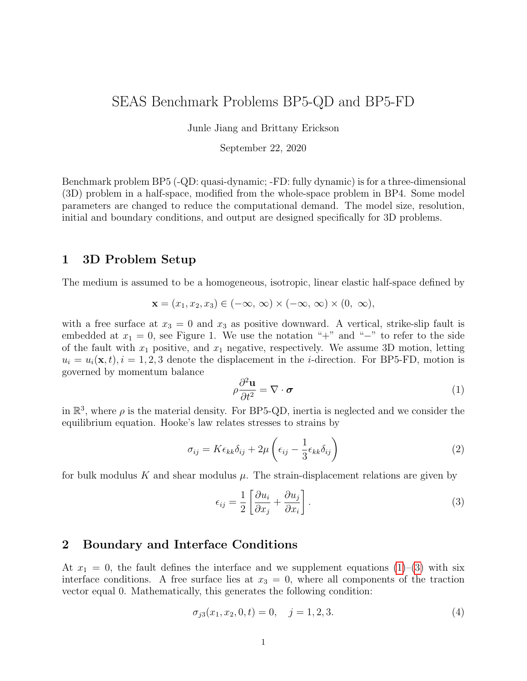# SEAS Benchmark Problems BP5-QD and BP5-FD

Junle Jiang and Brittany Erickson

September 22, 2020

Benchmark problem BP5 (-QD: quasi-dynamic; -FD: fully dynamic) is for a three-dimensional (3D) problem in a half-space, modified from the whole-space problem in BP4. Some model parameters are changed to reduce the computational demand. The model size, resolution, initial and boundary conditions, and output are designed specifically for 3D problems.

### 1 3D Problem Setup

The medium is assumed to be a homogeneous, isotropic, linear elastic half-space defined by

$$
\mathbf{x} = (x_1, x_2, x_3) \in (-\infty, \infty) \times (-\infty, \infty) \times (0, \infty),
$$

with a free surface at  $x_3 = 0$  and  $x_3$  as positive downward. A vertical, strike-slip fault is embedded at  $x_1 = 0$ , see Figure 1. We use the notation "+" and "-" to refer to the side of the fault with  $x_1$  positive, and  $x_1$  negative, respectively. We assume 3D motion, letting  $u_i = u_i(\mathbf{x}, t), i = 1, 2, 3$  denote the displacement in the *i*-direction. For BP5-FD, motion is governed by momentum balance

<span id="page-0-0"></span>
$$
\rho \frac{\partial^2 \mathbf{u}}{\partial t^2} = \nabla \cdot \boldsymbol{\sigma}
$$
 (1)

in  $\mathbb{R}^3$ , where  $\rho$  is the material density. For BP5-QD, inertia is neglected and we consider the equilibrium equation. Hooke's law relates stresses to strains by

$$
\sigma_{ij} = K \epsilon_{kk} \delta_{ij} + 2\mu \left( \epsilon_{ij} - \frac{1}{3} \epsilon_{kk} \delta_{ij} \right)
$$
 (2)

for bulk modulus K and shear modulus  $\mu$ . The strain-displacement relations are given by

<span id="page-0-1"></span>
$$
\epsilon_{ij} = \frac{1}{2} \left[ \frac{\partial u_i}{\partial x_j} + \frac{\partial u_j}{\partial x_i} \right].
$$
\n(3)

### 2 Boundary and Interface Conditions

At  $x_1 = 0$ , the fault defines the interface and we supplement equations [\(1\)](#page-0-0)–[\(3\)](#page-0-1) with six interface conditions. A free surface lies at  $x_3 = 0$ , where all components of the traction vector equal 0. Mathematically, this generates the following condition:

$$
\sigma_{j3}(x_1, x_2, 0, t) = 0, \quad j = 1, 2, 3. \tag{4}
$$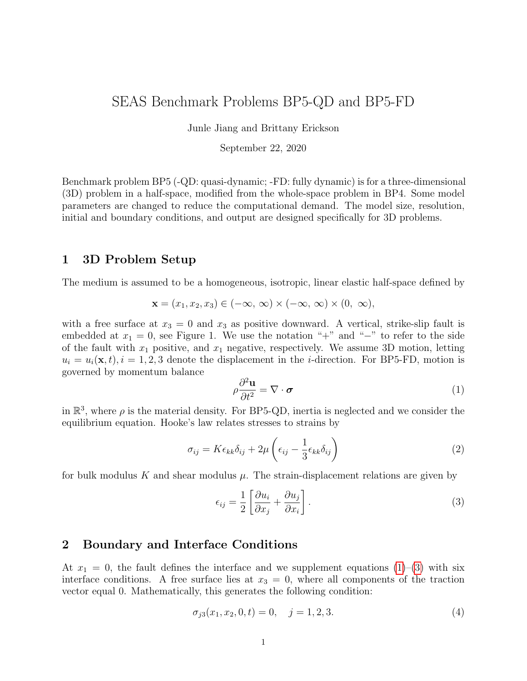

Figure 1: This benchmark considers 3D motion with a planar fault embedded vertically in a homogeneous, linear elastic half-space. The fault is governed by rate-and-state friction in the region  $0 \le x_3 \le W_f$  and  $|x_2| \leq l_f/2$ , outside of which it creeps at an imposed constant horizontal rate  $V_p$  (gray). The velocityweakening regoin (the rectangle in light and dark green;  $h_s + h_t \le x_3 \le h_s + h_t + H$  and  $|x_2| \le l/2$ ) is surrounded by a transition zone (yellow) of width  $h_t$  to velocity-strengthening regions (blue). A favorable nucleation zone (dark green square with width  $w$ ) is located at one end of the velocity-weakening patch.

We assume a "no-opening condition" on the fault, namely that

<span id="page-1-0"></span>
$$
u_1(0^+, x_2, x_3, t) = u_1(0^-, x_2, x_3, t), \tag{5}
$$

and define the slip vector

$$
s_j(x_2, x_3, t) = u_j(0^+, x_2, x_3, t) - u_j(0^-, x_2, x_3, t), \quad j = 2, 3,
$$
\n
$$
(6)
$$

i.e. the jump in horizontal and vertical displacements across the fault, with right-lateral motion yielding positive values of  $s_2$ . Positive values of  $s_3$  occur when the  $+$  side of fault moves in the positive  $x_3$ -direction and the  $-$  side moves in the negative  $x_3$ -direction.

We require that components of the traction vector be equal and opposite across the fault, which yields the three conditions

<span id="page-1-1"></span>
$$
-\sigma_{11}(0^+, x_2, x_3, t) = -\sigma_{11}(0^-, x_2, x_3, t), \tag{7a}
$$

$$
\sigma_{21}(0^+, x_2, x_3, t) = \sigma_{21}(0^-, x_2, x_3, t), \tag{7b}
$$

$$
\sigma_{31}(0^+, x_2, x_3, t) = \sigma_{31}(0^-, x_2, x_3, t), \tag{7c}
$$

and denote the common values by  $\sigma$  (positive in compression),  $\tau$  and  $\tau$ <sub>z</sub> (respectively), i.e. the normal traction and two components of shear traction. Note that positive values of  $\tau$ indicate stress that tends to cause right-lateral faulting and positive values of  $\tau_{z}$  indicates stress that tends to cause the  $+$  side of the fault to move downward (in the positive  $x_3$ direction) and the  $-$  side to move in the negative  $x_3$ -direction.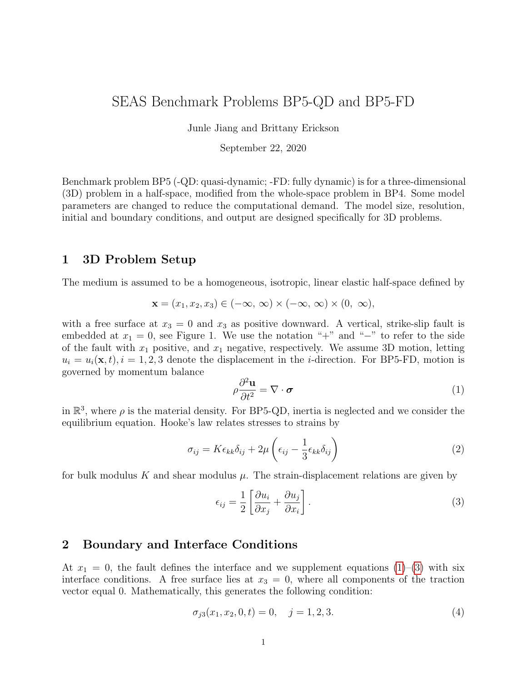In addition to conditions [\(5\)](#page-1-0) and [\(7\)](#page-1-1), the last two interface conditions are domain dependent. We define the slip velocity vector  $V$  in terms of the components

$$
V_j = \dot{s}_j, \quad j = 2, 3,\tag{8}
$$

letting  $V = ||V||$  denote the norm of the vector. The shear stress vector is given by

$$
\boldsymbol{\tau} = \begin{bmatrix} \tau \\ \tau_z \end{bmatrix} . \tag{9}
$$

Within the domain  $(x_2, x_3) \in \Omega_f = (-l_f/2, l_f/2) \times (0, W_f)$  we impose rate-and-state friction where shear stress on the fault is equal to fault strength  $\mathbf{F}$ , namely

<span id="page-2-0"></span>
$$
\boldsymbol{\tau} = \mathbf{F}(\mathbf{V}, \theta); \tag{10}
$$

For BP5-QD,  $\tau = \tau^0 + \Delta \tau - \eta V$  is the sum of the prestress, the shear stress transfer due to (quasi-static) deformation, and the radiation damping approximation to inertia, where  $\eta = \mu/2c_s$  is half the shear-wave impedance for shear wave speed  $c_s = \sqrt{\mu/\rho}$  and density  $\rho$ . For BP5-FD,  $\tau = \tau^0 + \Delta \tau$ , where  $\Delta \tau$  includes all stress transfers due to prior slip over the fault.

The fault strength

$$
\mathbf{F} = \bar{\sigma}_{\rm n} f(V, \theta) \frac{\mathbf{V}}{V},\tag{11}
$$

where  $\theta$  is the state variable and  $\bar{\sigma}_n = \sigma_n - p$  (the effective normal stress on the fault) for pore-pressure  $p$ .  $\theta$  evolves according to the aging law

$$
\frac{d\theta}{dt} = 1 - \frac{V\theta}{L},\tag{12}
$$

where  $L$  (denoted  $D_c$  in BP1 and BP2) is the critical slip distance. The friction coefficient f is given by a regularized formulation

$$
f(V,\theta) = a \sinh^{-1} \left[ \frac{V}{2V_0} \exp\left( \frac{f_0 + b \ln(V_0 \theta/L)}{a} \right) \right]
$$
 (13)

for reference friction coefficient  $f_0$ , reference slip rate  $V_0$ , and rate-and-state parameters a and b. For this benchmark, b is constant as  $b_0$  and a varies throughout  $\Omega_f$  in order to define the velocity-weakening/strengthening regions (see Figure 1) as follows:

$$
a(x_2, x_3) = \begin{cases} a_0, & (h_s + h_t \le x_3 \le h_s + h_t + H) \cap (|x_2| \le l/2) \\ a_{\text{max}}, & (0 \le x_3 \le h_s) \cup (h_s + 2h_t + H \le x_3 \le W_f) \\ & \cup (l/2 + h_t \le |x_2| \le l_f/2) \\ a_0 + r(a_{\text{max}} - a_0), & \text{other regions} \end{cases}
$$
(14)

where  $r = \max(|x_3 - h_s - h_t - H/2| - H/2, |x_2| - l/2)/h_t$ .

Outside the domain  $\Omega_f$  (i.e.  $|x_3| > W_f$  or  $|x_2| > l_f/2$ ) the fault creeps horizontally at an imposed constant rate, given by the interface conditions

<span id="page-2-1"></span>
$$
V_2(x_2, x_3, t) = V_p,\t\t(15a)
$$

$$
V_3(x_2, x_3, t) = 0,\t(15b)
$$

where  $V_p$  is the plate rate.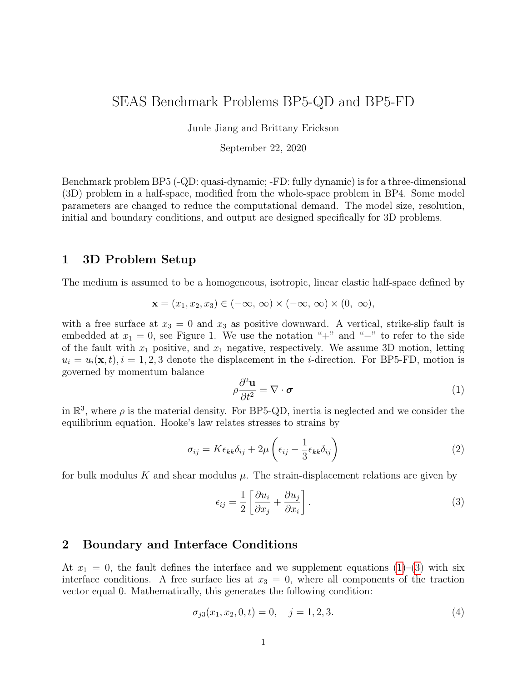### 3 Initial Conditions and Simulation Time

Since slip on a fault separating identical materials does not alter the normal traction,  $\sigma_n$ remains constant. The initial state and pre-stress on the fault is chosen so that the model can start with a uniform fault slip rate, given by

<span id="page-3-2"></span>
$$
\mathbf{V} = \begin{bmatrix} V_{\text{init}} \\ V_{\text{zero}} \end{bmatrix},\tag{16}
$$

where  $V_{\text{zero}}$  is chosen as 10<sup>20</sup> m/s to avoid infinite  $\log(V_3)$  in data output, and

$$
\boldsymbol{\tau}^0 = \tau^0 \cdot \mathbf{V}/V. \tag{17}
$$

The initial state variable is chosen as the steady state at slip rate  $V_{\text{init}}$  over the entire fault, namely

<span id="page-3-4"></span><span id="page-3-3"></span>
$$
\theta(x_2, x_3, 0) = L/V_{\text{init}}.\tag{18}
$$

For **BP5-QD**, we must specify an initial value for slip, which we take to be zero, namely

<span id="page-3-5"></span><span id="page-3-0"></span>
$$
s_j(x_2, x_3, t) = 0, \quad j = 2, 3. \tag{19}
$$

The scalar pre-stress  $\tau^0$  is chosen as the steady-state stress:

$$
\tau^0 = \bar{\sigma}_{\rm n} a \sinh^{-1} \left[ \frac{V_{\rm init}}{2V_0} \exp\left( \frac{f_0 + b \ln(V_0/V_{\rm init})}{a} \right) \right] + \eta V_{\rm init} \,, \tag{20}
$$

For BP5-FD, initial values for displacements and velocities in the medium must be specified. We assume these are initially zero everywhere in the domain (i.e. we assume displacements are measured with respect to the prestressed equilibrium configuration), namely,

<span id="page-3-1"></span>
$$
u_j(x_1, x_2, x_3, 0) = \dot{u}_j(x_1, x_2, x_3, 0) = 0, \quad j = 1, 2, 3.
$$
 (21)

The scalar pre-stress  $\tau^0$  is chosen as the steady-state stress:

$$
\tau^0 = \bar{\sigma}_{\rm n} a \sinh^{-1} \left[ \frac{V_{\rm init}}{2V_0} \exp\left( \frac{f_0 + b \ln(V_0/V_{\rm init})}{a} \right) \right] \,, \tag{22}
$$

To break the symmetry of the problem and facilitate comparisons of different simulations, we choose a square region with a width,  $w$ , at one end of the VW region, as a favorable location for nucleation of the first and subsequent seismic events. For this purpose, we assign a smaller critical slip distance  $(L = 0.13 \text{ m})$  and impose a higher initial slip rate along the x<sub>2</sub>-direction ( $V_i = 0.01$  m/s) within this square region while keeping the initial state variable  $\theta(x_2, x_3, 0)$  unchanged, which means that a higher pre-stress along the  $x_2$ -direction is required:

$$
\tau_{\rm i}^0 = \bar{\sigma}_{\rm n} a \sinh^{-1} \left[ \frac{V_{\rm i}}{2V_0} \exp\left(\frac{f_0 + b \ln(V_0/V_{\rm init})}{a}\right) \right] + \delta \tau,\tag{23}
$$

where  $\delta \tau = \eta V_i$  for BP5-QD and  $\delta \tau = 0$  for BP5-FD. This initial condition should lead to an immediate initiation of the first seismic event.

Equations  $(1)$ – $(3)$ , along with interface conditions  $(5)$ ,  $(7)$ ,  $(10)$ ,  $(15)$ , and initial condi-tions [\(19](#page-3-0) or [21\)](#page-3-1), [\(16\)](#page-3-2), [\(18\)](#page-3-3), [\(20](#page-3-4) or [22\)](#page-3-5) are solved over the time period  $0 \le t \le t_f$ , where  $t_f$  is a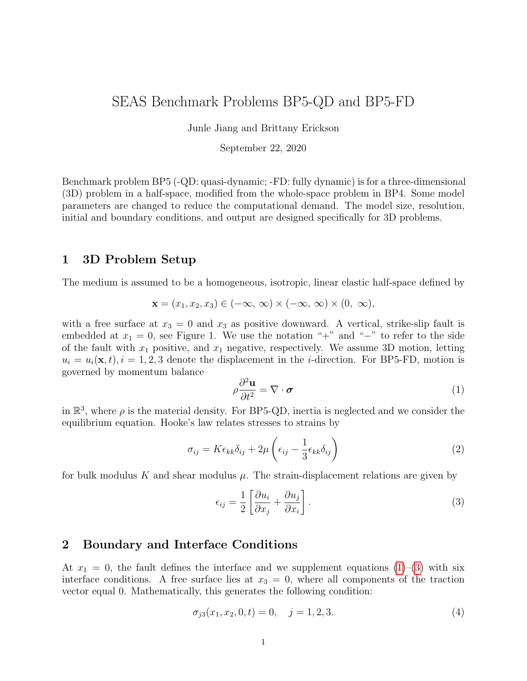| Parameter              | Definition                         | Value, Units                              |
|------------------------|------------------------------------|-------------------------------------------|
| $\rho$                 | density                            | $2670 \text{ kg/m}^3$                     |
| $c_{\rm s}$            | shear wave speed                   | $3.464 \text{ km/s}$                      |
| $\nu$                  | Poisson's ratio                    | 0.25                                      |
| $a_0$                  | rate-and-state parameter           | 0.004                                     |
| $a_{\text{max}}$       | rate-and-state parameter           | 0.04                                      |
| $b_0$                  | rate-and-state parameter           | 0.03                                      |
| $\bar{\sigma}_{\rm n}$ | effective normal stress            | 25 MPa                                    |
| L                      | critical slip distance             | $0.14 \text{ m}/0.13 \text{ m}^{\dagger}$ |
| $V_{\rm p}$            | plate rate                         | $10^{-9}$ m/s                             |
| $V_{\rm init}$         | initial slip rate                  | $10^{-9}$ m/s                             |
| $V_0$                  | reference slip rate                | $10^{-6}$ m/s                             |
| $f_0$                  | reference friction coefficient     | 0.6                                       |
| $h_{\rm s}$            | width of shallow VS zone           | $2 \text{ km}$                            |
| $h_{\rm t}$            | width of VW-VS transition zone     | $2 \text{ km}$                            |
| H                      | width of uniform VW region         | $12 \text{ km}$                           |
| l                      | length of uniform VW region        | $60 \text{ km}$                           |
| $W_{\rm f}$            | width of rate-and-state fault      | $40 \text{ km}$                           |
| $l_{\rm f}$            | length of rate-and-state fault     | $100 \mathrm{km}$                         |
| w                      | width of favorable nucleation zone | $12 \text{ km}$                           |
| $\Delta z$             | suggested cell size                | $1000\,\mathrm{m}$                        |
| $t_{\rm f}$            | final simulation time              | $1800$ years                              |

Table 1: Parameter values used in this benchmark problem

specified final simulation time. All necessary parameter values for this benchmark problem are given in Table 1.

Because computational efficiency for 3D problems demands a large cell size, we have changed some model parameters from BP1 in order to resolve relevant physical length scales. At a rupture speed of  $0^+$ , the quasi-static process zone,  $\Lambda_0$ , is expressed as:

$$
\Lambda_0 = C \frac{\mu L}{b \bar{\sigma}_{\rm n}},\tag{24}
$$

where C is a constant on the order of 1. Another important length scale, the nucleation zone size,  $h$  , is expressed as:

$$
h = \frac{\pi}{2} \frac{\mu b L}{(b - a)^2 \bar{\sigma}_n}.
$$
\n(25)

With the provided model values, the process zone  $\Lambda_0$  and h are uniform over most of the VW region, with a size of  $\approx 6.0$  km and  $\approx 12.5$  km, respectively. Within the favorable nucleation zone,  $\Lambda_0$  and h are  $\approx 5.6$  km and  $\approx 11.6$  km.

We suggest using a cell size of  $\Delta z = 1000$  m for the simulations; results from simulations using smaller, if feasible, or larger cell sizes are welcome. For a cell size of 1000 m,  $\Lambda_0$  is resolved by  $\sim$ 6 grid points and h by  $\sim$ 12 grid points. For methods that use multiple degrees of freedom along cell edges/faces, please take  $\Delta z =$  edge length / number of unique degrees of freedom. For instance, for a high-order finite element method, if  $\Delta h$  is the edge length and N the polynomial order then  $\Delta z = \Delta h/N$ .

<sup>&</sup>lt;sup> $\dagger$ </sup> the value of  $L$  in the favorable nucleation zone.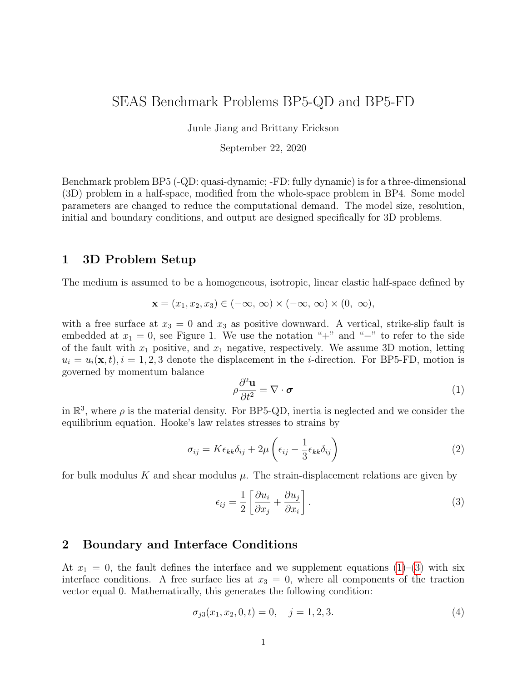### 4 Benchmark Output

We request five types of data output, if available, for this benchmark:

- (1) On-fault time series (section [4.1\)](#page-6-0)
- (2) Off-fault time series (section [4.2\)](#page-8-0)
- (3) Source parameter time series (section [4.3\)](#page-10-0)
- (4) Earthquake catalog (section [4.4\)](#page-11-0)
- (5) Slip and stress evolution profile (section [4.5\)](#page-13-0)
- (6) Rupture time contour for first event (section [4.6\)](#page-15-0)

The location information relevant to these outputs are shown in Fig. [2.](#page-5-0) Data files for (1), (2), (3) and (6) are uploaded to the SCEC code verification web server (section [5\)](#page-17-0). Information on how to share output (4) and (5) is detailed in sections [4.4](#page-11-0) and [4.5.](#page-13-0)



<span id="page-5-0"></span>Figure 2: Observation points, lines, and region for model outputs. Local time series is output at (top) on-fault and (bottom) off-fault points (red). Slip and stress evolution are output along two cross-section lines (orange). The region outlined in red is used for estimating source parameter time series and rupture time contour. Dashed rectangles indicate fault areas with different frictional properties, shown in Figure 1.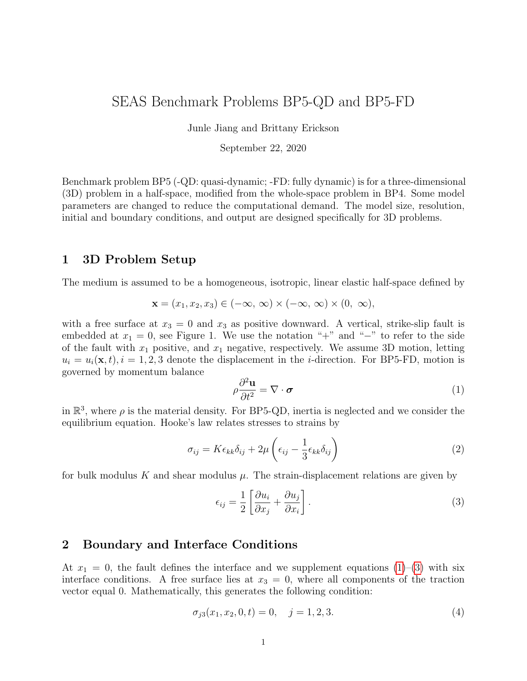### <span id="page-6-0"></span>4.1 On-fault Time Series Output

You need to upload on-fault  $(x_1 = 0)$  time series files, which give slip components  $s_2$  and  $s_3$ , base 10 log of the components of slip rate  $V_2$  and  $V_3$ , base 10 log of the state variable (i.e.  $log_{10}(\theta)$ , and shear stress components  $\tau$  and  $\tau_z$ , for each on-fault station at representative time steps. We define the simulation periods as either aseismic (when  $\max(V) < 10^{-3}$  m/s, where  $max(V)$  is the maximum of the norm of the slip velocity vector over the entire fault) or seismic (when  $\max(V) \geq 10^{-3}$  m/s). When outputting modeling results, use larger time intervals (e.g., ∼0.1 yr) during aseismic periods and smaller time intervals (e.g., ∼0.1 s) during seismic periods. More variable time steps are OK. Please keep the total number of time steps in the data file on the order of  $10^4$ - $10^5$ .

Time series data is supplied as ASCII files, one file for each station. There are 10 observational points on the fault (including 5 at the surface fault trace), as follows:

1. fltst\_strk-36dp+00:  $x_2 = -36$  km,  $x_3 = 0$  km; 2. fltst\_strk-16dp+00:  $x_2 = -16$  km,  $x_3 = 0$  km; 3. fltst\_strk+00dp+00:  $x_2 = 0$  km,  $x_3 = 0$  km; 4. fltst\_strk+16dp+00:  $x_2 = 16$  km,  $x_3 = 0$  km; 5. fltst\_strk+36dp+00:  $x_2 = 36$  km,  $x_3 = 0$  km; 6. fltst\_strk-24dp+10:  $x_2 = -24$  km,  $x_3 = 10$  km; 7. fltst\_strk-16dp+10:  $x_2 = -16$  km,  $x_3 = 10$  km; 8. fltst\_strk+00dp+10:  $x_2 = 0$  km,  $x_3 = 10$  km; 9. fltst\_strk+16dp+10:  $x_2 = 16$  km,  $x_3 = 10$  km; 10. fltst\_strk+00dp+22:  $x_2 = 0$  km,  $x_3 = 22$  km.

Each time series has 8 data fields, as follows.

| Field Name     | Description, Units and Sign Convention                                                        |
|----------------|-----------------------------------------------------------------------------------------------|
| t.             | Time(s)                                                                                       |
| $slip_2$       | Horizontal component of slip (m). Positive for right-lateral motion.                          |
| $slip_3$       | Vertical component of slip $(m)$ . Positive for $+$ side moving downward.                     |
| slip_rate_2    | $\log_{10}$ of the amplitude of the horizontal component of slip-rate ( $\log_{10}$ m/s),     |
|                | which is positive for right-lateral motion.                                                   |
| slip_rate_3    | $\log_{10}$ of the amplitude of the vertical component of slip-rate ( $\log_{10}$ m/s), which |
|                | is positive for $+$ side moving downward.                                                     |
| shear_stress_2 | Horizontal component of shear stress (MPa), which is positive for shear stress                |
|                | that tends to cause right-lateral motion.                                                     |
| shear_stress_3 | Vertical component of shear stress (MPa), which is positive for shear stress                  |
|                | that tends to cause $+$ side to move downward.                                                |
| state          | $\log_{10}$ of state variable ( $\log_{10}$ s).                                               |

The on-fault time series file consists of three sections, as follows: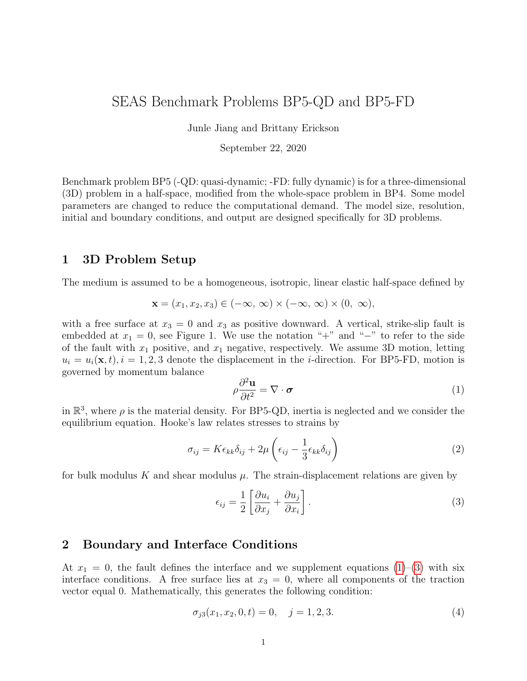| File Section | Description                                                                               |  |  |  |  |  |
|--------------|-------------------------------------------------------------------------------------------|--|--|--|--|--|
| File Header  | A series of lines, each beginning with a $#$ symbol, that give the following information: |  |  |  |  |  |
|              | Benchmark problem (BP5-QD)                                                                |  |  |  |  |  |
|              | Code name                                                                                 |  |  |  |  |  |
|              | Code version (optional)                                                                   |  |  |  |  |  |
|              | Modeler                                                                                   |  |  |  |  |  |
|              | Date                                                                                      |  |  |  |  |  |
|              | Node spacing or element size                                                              |  |  |  |  |  |
|              | Station location                                                                          |  |  |  |  |  |
|              | Minimum time step (optional)<br>٠                                                         |  |  |  |  |  |
|              | Maximum time step (optional)<br>$\bullet$                                                 |  |  |  |  |  |
|              | Number of time steps in file (optional)<br>$\bullet$                                      |  |  |  |  |  |
|              | Anything else you think is relevant (optional)                                            |  |  |  |  |  |
|              | Descriptions of data columns (8 lines)                                                    |  |  |  |  |  |
|              | Anything else you think is relevant                                                       |  |  |  |  |  |
| Field List   | A single line, which lists the names of the 8 data fields, in column order, separated     |  |  |  |  |  |
|              | by spaces. It should be:                                                                  |  |  |  |  |  |
|              | slip_2 slip_3 slip_rate_2 slip_rate_3 shear_stress_2 shear_stress_3                       |  |  |  |  |  |
|              | state (all on one line).                                                                  |  |  |  |  |  |
|              | The server examines this line to check that your file contains the correct data fields.   |  |  |  |  |  |
| Time History | A series of lines. Each line contains 8 numbers, which give the data values for a         |  |  |  |  |  |
|              | single time step. The lines must appear in order of increasing time.                      |  |  |  |  |  |
|              | Make sure to use double-precision when saving all fields.                                 |  |  |  |  |  |
|              | $C/C++$ users: We recommend using 21.13E or 21.13e floating-point format for              |  |  |  |  |  |
|              | the time field and 14.6E or 14.6e format for all other data fields.                       |  |  |  |  |  |
|              | Fortran users: We recommend using E22.14 or 1PE22.13 floating-point format for            |  |  |  |  |  |
|              | the time field and E15.7 or 1PE15.6 format for other data fields. The server accepts      |  |  |  |  |  |
|              | most common numeric formats. If the server cannot understand your file, you will          |  |  |  |  |  |
|              | see an error message when you attempt to upload the file.                                 |  |  |  |  |  |

Here is an example of an on-fault time-series file, with invented data.

- # This is the file header:
- # problem=SEAS Benchmark BP5-QD
- # code=MYcode
- # version=1.0
- # modeler=A.Modeler
- # date=2019/12/01
- # element\_size=1000 m
- # location= on fault, 0km along strike, 10km depth
- # minimum\_time\_step=0.1
- # maximum\_time\_step=3.157e6
- # num\_time\_steps=2400
- $#$  Column  $#1 =$  Time (s)
- # Column  $#2 =$  Slip<sub>-2</sub> (m)
- # Column  $#3 =$  Slip<sub>-3</sub> (m)
- # Column  $#4 =$  Slip\_rate\_2 (log10 m/s)
- # Column  $#5 =$  Slip\_rate\_3 (log10 m/s)
- # Column #6 = Shear\_stress\_2 (MPa)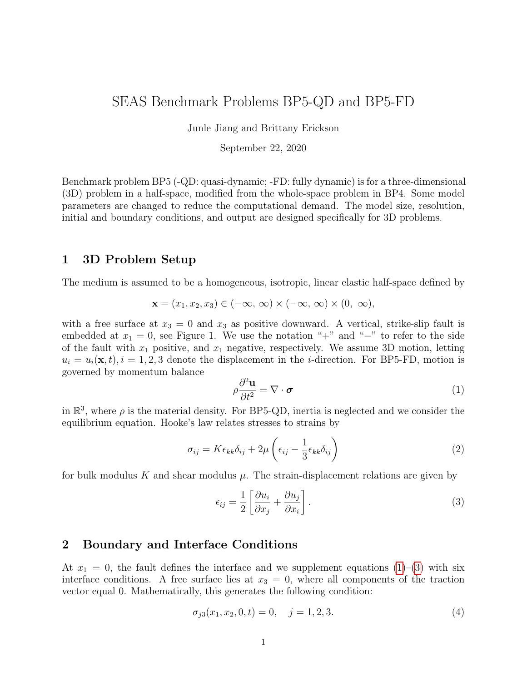```
# Column #7 = Shear_stress_3 (MPa)
# Column #8 = State (log10 s)
# The line below lists the names of the data fields
t slip_2 slip_3 slip_rate_2 slip_rate_3 shear_stress_2 shear_stress_3 state
# Here is the time-series data.
0.000000E+00 0.000000E+00 -9.000000E+00 3.000000E+01 7.000000E+00 ...
5.000000E-02 0.000000E+00 -9.000000E+00 3.000000E+01 7.000000E+00 ...
1.000000E-01 0.000000E+00 -9.000000E+00 3.000000E+01 7.000000E+00 ...
1.500000E-01 0.000000E+00 -9.000000E+00 3.000000E+01 7.000000E+00 ...
# \dots and so on.
```
#### <span id="page-8-0"></span>4.2 Off-fault Time Series Output

You need to upload time series files for off-fault stations, which give three components of displacement  $u_1, u_2$ , and  $u_3$ , and of velocity  $v_1, v_2$ , and  $v_3$  (not base 10 log), for each station at representative time steps. Please use the same time steps for outputting the on-fault and off-fault time series.

Time series data is supplied as ASCII files, one file for each station. There are six off-fault observational points on the surface  $(x_3 = 0 \text{ km})$ , as follows:

- 1. blkst\_strk-16fn+08dp+00:  $x_2 = -16$  km,  $x_1 = 8$  km;
- 2. blkst\_strk+00fn+08dp+00:  $x_2 = 0$  km,  $x_1 = 8$  km;
- 3. blkst\_strk+16fn+08dp+00:  $x_2 = 16$  km,  $x_1 = 8$  km;
- 4. blkst\_strk+00fn+16dp+00:  $x_2 = 0$  km,  $x_1 = 16$  km;
- 5. blkst\_strk+00fn+32dp+00:  $x_2 = 0$  km,  $x_1 = 32$  km;
- 6. blkst\_strk+00fn+48dp+00:  $x_2 = 0$  km,  $x_1 = 48$  km.

There are three additional off-fault stations at depth  $(x_2 = 0 \text{ km})$ , as follows:

- 7. blkst\_strk+00fn+08dp+10:  $x_1 = 8$  km,  $x_3 = 10$  km;
- 8. blkst\_strk+00fn+16dp+10:  $x_1 = 16$  km,  $x_3 = 10$  km;
- 9. blkst\_strk+00fn+32dp+10:  $x_1 = 32$  km,  $x_3 = 10$  km.

Each time series has 7 data fields, as follows.

| Field Name          | Description, Units and Sign Convention                                             |
|---------------------|------------------------------------------------------------------------------------|
|                     | Time(s)                                                                            |
| di sp_1             | Fault-perpendicular $(x_1)$ component of displacement (m). Positive for exten-     |
|                     | sional motion.                                                                     |
| di sp <sub>-2</sub> | Fault-parallel $(x_2)$ component of displacement (m). Positive for right-lateral   |
|                     | motion.                                                                            |
| di sp <sub>-3</sub> | Vertical $(x_3)$ component of displacement (m). Positive for $+$ side moving down- |
|                     | ward.                                                                              |
| $vel_1$             | $x_1$ component of velocity (m/s), which is positive for extensional motion.       |
| $vel_2$             | $x_2$ component of velocity (m/s), which is positive for right-lateral motion.     |
| $vel_3$             | $x_3$ component of velocity (m/s), which is positive for $+$ side moving downward. |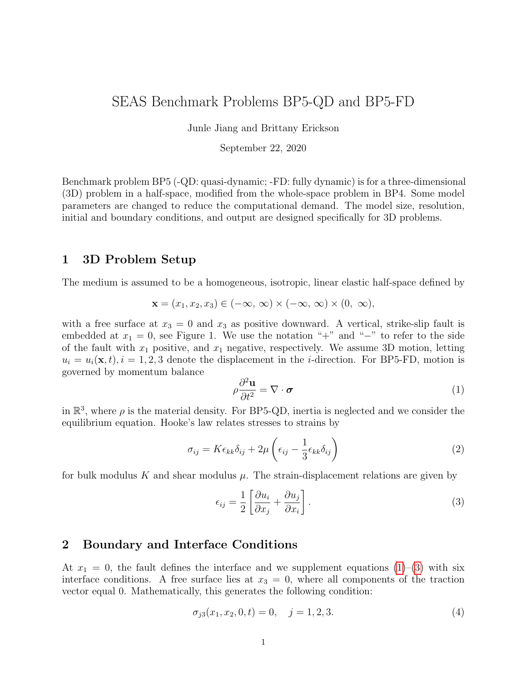| File Section | Description                                                                               |  |  |  |  |  |
|--------------|-------------------------------------------------------------------------------------------|--|--|--|--|--|
| File Header  | A series of lines, each beginning with a $#$ symbol, that give the following information: |  |  |  |  |  |
|              | Benchmark problem (BP5-QD)                                                                |  |  |  |  |  |
|              | Code name                                                                                 |  |  |  |  |  |
|              | Code version (optional)                                                                   |  |  |  |  |  |
|              | Modeler                                                                                   |  |  |  |  |  |
|              | Date                                                                                      |  |  |  |  |  |
|              | Node spacing or element size                                                              |  |  |  |  |  |
|              | Station location                                                                          |  |  |  |  |  |
|              | Minimum time step (optional)                                                              |  |  |  |  |  |
|              | Maximum time step (optional)                                                              |  |  |  |  |  |
|              | Number of time steps in file (optional)                                                   |  |  |  |  |  |
|              | Anything else you think is relevant (optional)                                            |  |  |  |  |  |
|              | Descriptions of data columns (7 lines)                                                    |  |  |  |  |  |
|              | Anything else you think is relevant                                                       |  |  |  |  |  |
| Field List   | A single line, which lists the names of the 7 data fields, in column order, separated     |  |  |  |  |  |
|              | by spaces. It should be:                                                                  |  |  |  |  |  |
|              | t di sp_1 di sp_2 di sp_3 vel _1 vel _2 vel _3 (all on one line).                         |  |  |  |  |  |
|              | The server examines this line to check that your file contains the correct data fields.   |  |  |  |  |  |
| Time History | A series of lines. Each line contains 8 numbers, which give the data values for a         |  |  |  |  |  |
|              | single time step. The lines must appear in order of increasing time.                      |  |  |  |  |  |
|              | Make sure to use double-precision when saving all fields.                                 |  |  |  |  |  |
|              | $C/C++$ users: We recommend using 21.13E or 21.13e floating-point format for              |  |  |  |  |  |
|              | the time and velocity fields, and 14.6E or 14.6e format for all other data fields.        |  |  |  |  |  |
|              | <b>Fortran users:</b> We recommend using E22.14 or 1PE22.13 floating-point format for     |  |  |  |  |  |
|              | the time and velocity fields, and E15.7 or 1PE15.6 format for other data fields. The      |  |  |  |  |  |
|              | server accepts most common numeric formats. If the server cannot understand your          |  |  |  |  |  |
|              | file, you will see an error message when you attempt to upload the file.                  |  |  |  |  |  |

The off-fault time series file consists of three sections, as follows:

Here is an example of an on-fault time-series file, with invented data.

- # This is the file header:
- # problem=SEAS Benchmark BP5-QD
- # code=MYcode
- # version=1.0
- # modeler=A.Modeler
- # date=2019/12/01
- # element\_size=1000 m
- # location= off fault, 0km along strike, 8km away from the fault, 0km depth
- # minimum\_time\_step=0.1
- # maximum\_time\_step=3.157e6
- # num\_time\_steps=2400
- $#$  Column  $#1 =$  Time (s)
- # Column  $#2 =$  Displacement 1 (m)
- $#$  Column  $#3 =$  Displacement  $2$  (m)
- # Column  $#4 =$  Displacement  $3$  (m)
- $#$  Column  $#5 =$  Velocity<sub>-1</sub> (m/s)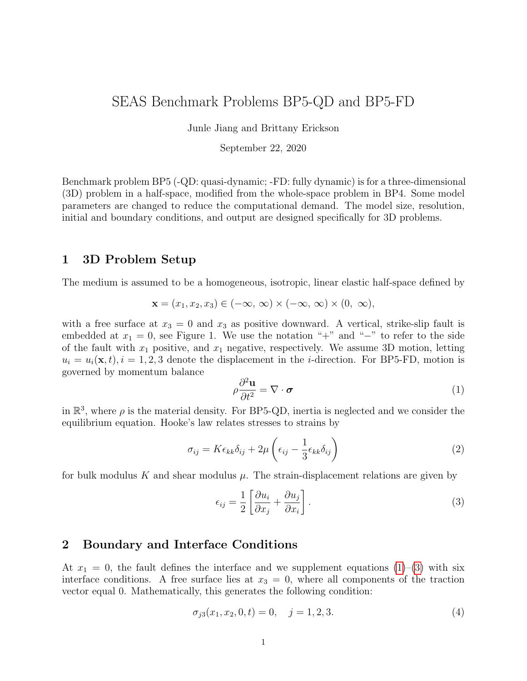# Column #6 = Velocity\_2  $(m/s)$ # Column  $#7 =$  Velocity<sub>-3</sub> (m/s) # The line below lists the names of the data fields t disp\_1 disp\_2 disp\_3 vel\_1 vel\_2 vel\_3 # Here is the time-series data. 0.000000E+00 0.000000E+00 0.000000E+00 0.000000E+00 1.000000E-20 1.000000E-9 1.000000E-20 5.000000E-02 0.000000E+00 0.000000E+00 0.000000E+00 1.000000E-20 1.000000E-9 1.000000E-20 1.000000E-01 0.000000E+00 0.000000E+00 0.000000E+00 1.000000E-20 1.000000E-9 1.000000E-20  $# \dots$  and so on.

#### <span id="page-10-0"></span>4.3 Source Parameter Time Series Output

You need to upload a file named global.dat, which includes time series of two global source variables, maximum amplitude of slip rates

$$
V_{\text{max}} = \max_{(x_2, x_3) \ge A} V
$$

and moment rates

$$
M_t = \int_A \mu \, V dA
$$

for the domain A that surrounds the velocity-weakening patch plus twice the transition zone width in every direction, i.e.  $(|x_2| \leq l/2 + 2h_t) \cap (0 \leq x_3 \leq H + h_s + 3h_t)$  (shown in Fig. 2). Upload data corresponding to the same time steps you used for section [4.1.](#page-6-0)

Here is an example of a source parameter time-series file, with invented data.

```
# This is the file header:
# problem=SEAS Benchmark BP5-QD
# code=MYcode
# version=1.0
# modeler=A.Modeler
# date=2019/12/01
# element size=1000 m
# location= VW patch + transition zone
# minimum_time_step=0.1
# maximum_time_step=3.157e6
# num_time_steps=2400
# Column #1 = Time (s)
# Column #2 = Max_slip_rate (log10 m/s)
# Column #3 = Moment_rate (N-m/s)
# The line below lists the names of the data fields
t max_slip_rate moment_rate
# Here is the time-series data.
0.000000E+00 0.000000E+00 -9.000000E+00
5.000000E-02 0.000000E+00 -9.000000E+00
1.000000E-01 0.000000E+00 -9.000000E+00
```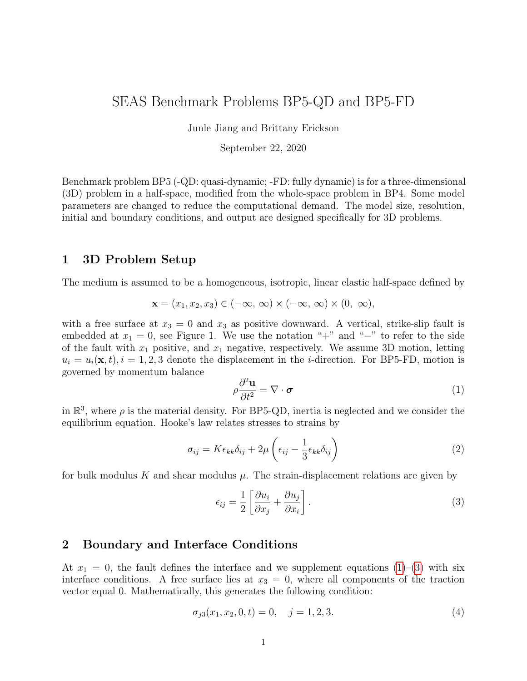1.500000E-01 0.000000E+00 -9.000000E+00  $#$  ... and so on.

### <span id="page-11-0"></span>4.4 Earthquake Catalog Output

The earthquake catalog output file with a name catalog.dat is a single ASCII file that includes characteristics of all seismic events in the simulation. We define an event to start when the maximum slip rate exceeds 10  $\frac{3 \text{ m}}{s}$ , and to be over when maximum slip rate dips below 10  $\mathrm{^{3}m/s}$  for a time duration of at least 10 seconds (to avoid inaccurate estimate of event termination in the presence of slip rate fluctuation at the end of rupture). For each earthquake in the entire simulation period, the file contains the event number, the event initiation time, event termination time, the total rupture area  $R$ , average stress in the rupture area  $\tau_{\text{avg}}$  at the beginning and end of the event (so stress drops can be computed from the two values), and the average coseismic slip in the rupture area  $s_{\text{avg}}$ .

We consider the rupture domain  $\Omega_R$  as those locations on the fault where slip rates have exceeded 10<sup>-3</sup> m/s at any time during the event, with  $R = |\Omega_R|$  being the total rupture area. We define  $\tau_{\text{avg}}$  as the amplitude of spatially averaged stress vector  $\tau$  within the rupture area:

$$
\tau_{\text{avg}} = \frac{1}{R} \Big| \int_{\Omega_R} \tau \, d\Omega_R \Big|.
$$

Similarly, we define  $s_{\text{avg}}$  as the amplitude of spatially averaged slip vector  $s$  within the rupture domain:

$$
s_{\text{avg}} = \frac{1}{R} | \int_{\Omega_R} \mathbf{s} \, d\Omega_R |.
$$

NOTE: Please upload this data to a Dropbox folder that will be shared with you (or send request to bae@uoregon.edu). Please ensure that the file is ∼10s of MBs or less.

| Field Name       | Description, Units and Sign Convention                          |
|------------------|-----------------------------------------------------------------|
| event_no         | Event number.                                                   |
| t_start          | Time event starts (s).                                          |
| t_end            | Time event ends (s).                                            |
| rup_area         | Rupture area $(m^2)$ .                                          |
| avg_stress_start | Spatial average of stress within rupture area at t_start (MPa). |
| avg_stress_end   | Spatial average of stress within rupture area at t_end (MPa).   |
| avg_slip         | Average slip in rupture area $(m)$ .                            |

The data file has 7 data fields, as follows:

The data output consists of three sections, as follows: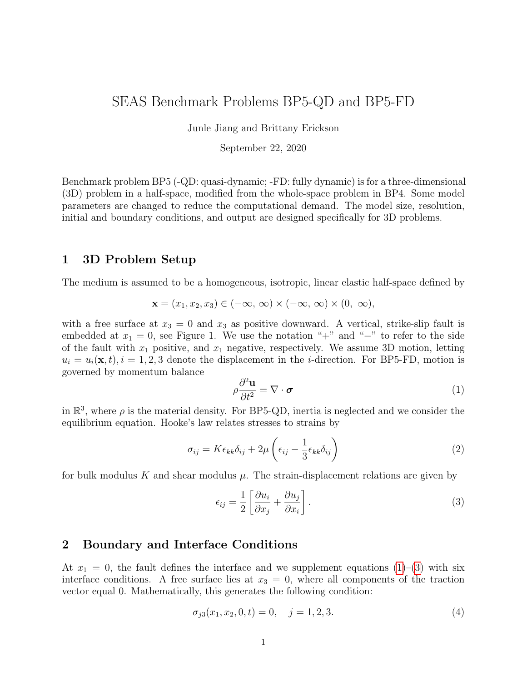| File Section | Description                                                                        |  |  |  |  |  |
|--------------|------------------------------------------------------------------------------------|--|--|--|--|--|
| File Header  | A series of lines, each beginning with a $#$ symbol, that give the following       |  |  |  |  |  |
|              | information:                                                                       |  |  |  |  |  |
|              | • Benchmark problem $(BP5-QD)$                                                     |  |  |  |  |  |
|              | Modeler                                                                            |  |  |  |  |  |
|              | $\bullet$ Date                                                                     |  |  |  |  |  |
|              | $\bullet$ Code                                                                     |  |  |  |  |  |
|              | • Code version (if desired)                                                        |  |  |  |  |  |
|              | • Node spacing or element size                                                     |  |  |  |  |  |
|              | • Descriptions of data fields $(1 \text{ line})$                                   |  |  |  |  |  |
|              | • Anything else you think is relevant (e.g. computational domain size)             |  |  |  |  |  |
| Field List   | One line listing the 7 data fields on one line, separated by spaces. It should be: |  |  |  |  |  |
|              | event_no t_start t_end rup_area avg_stress_start avg_stress_end                    |  |  |  |  |  |
|              | avg_slip (all on one line).                                                        |  |  |  |  |  |
| Catalog      | A series of lines.                                                                 |  |  |  |  |  |
|              | Make sure to use double-precision when saving all fields.                          |  |  |  |  |  |
|              | $C/C++$ users: We recommend using 21.13E or 21.13e floating-point format           |  |  |  |  |  |
|              | for the time field and 14.6E or 14.6e format for all other data fields.            |  |  |  |  |  |
|              | <b>Fortran users:</b> We recommend using E22.14 or 1PE22.13 floating-point for-    |  |  |  |  |  |
|              | mat for the time field and E15.7 or 1PE15.6 format for other data fields.          |  |  |  |  |  |

Here is an example of a catalog file, with invented data.

- # This is the file header:
- # problem=SEAS Benchmark BP5-QD
- # author=A.Modeler
- # date=2019/12/01
- # code=MyCode
- # code version=3.7
- # element\_size=1000 m
- # Column #1 = Event number
- # Column  $#2 =$  Event start time (s)
- # Column  $#3 =$  Event end time (s)
- # Column #6 = Rupture area  $(m^2)$
- # Column #7 = Stress avg at start time (MPa)
- # Column #8 = Stress avg at end time (MPa)
- # Column #9 = Avg slip in rupture area (m)

# Computational domain size: depth 100 km, distance off fault 100 km

```
# The line below lists the names of the data fields
```

```
event no t start t end rup area avg stress start avg stress end avg slip
# Here are the data
```

```
1 3.15500000E+07 3.15500200E+07 1.800000E+09 ... 5.000000E+00
```

```
2 4.70000000E+09 4.70000002E+09 1.800000E+09 ... 4.800000E+00
```

```
3 9.45000000E+09 9.45000002E+09 1.800000E+09 ... 4.820000E+00
```

```
# ... and so on.
```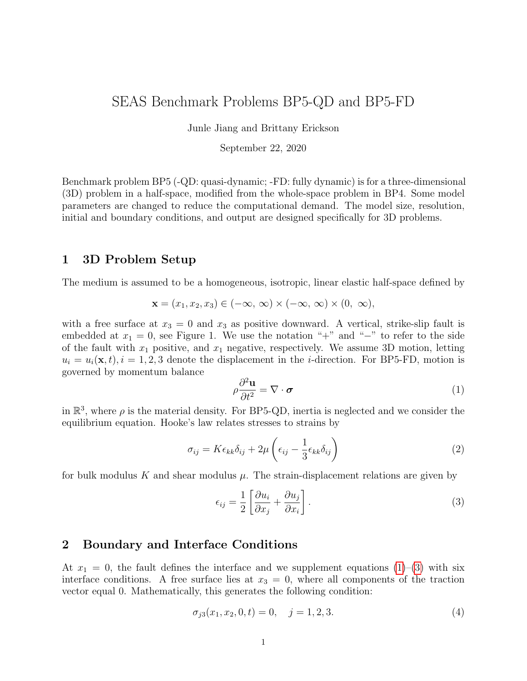### <span id="page-13-0"></span>4.5 Slip and Stress Evolution Output

The slip and stress evolution output files with the names

slip 2 depth.dat slip 2 strike.dat stress\_2\_depth.dat stress 2 strike.dat slip 3 depth.dat slip 3 strike.dat stress\_3\_depth.dat stress\_3\_strike.dat

are 8 ASCII files that record the spatial distribution of slip and stress (both horizontal and vertical components) on a subset of fault nodes at one-dimensional cross sections (either a specified distance along strike OR along depth), at representative time steps during the aseismic and seismic phases of the simulation. Data can be saved using representative time intervals of ∼5 yr and ∼1 s for results in aseismic and seismic phases, respectively, or with variable time steps. Either way, data will be interpolated to plot slip every 5 yr during the aseismic phase, and every 1 s during the coseismic phase.

The data should include nodes with a spacing of  $\sim$ 1000 m (or larger for simulations with larger cells) along depth  $(0 \le x_3 \le W_f)$  or along strike  $(-l/2 - 8 \text{ km } \le x_2 \le l/2 + 8 \text{ km})$ . The files should also contain the time series of maximum slip rate amplitude (taken over the entire fault), so that we can precisely differentiate aseismic and seismic phases. We request a total of 8 data files containing slip and stress data at two one-dimensional cross sections: one along-dip profile at  $x_2 = 0$  km and one along-strike profile at  $x_3 = 10$  km (see the orange lines in Figure [2\)](#page-5-0).

NOTE: Please upload this data to a Dropbox folder that will be shared with you (or send a request to bae@uoregon.edu).

| Field Name                                  | Description, Units and Sign Convention                                         |
|---------------------------------------------|--------------------------------------------------------------------------------|
| $x2$ OR $x3$                                | Strike (m) at $\sim$ 1000 m increments from $-38 \text{ km}$ to 38 km OR Depth |
|                                             | (m) at $\sim$ 1000 m increments from 0 km to 40 km                             |
|                                             | Time (s). Nonuniform time steps.                                               |
| max_slip_rate                               | The $log_{10}$ of maximum amplitude of slip-rate (taken over the entire        |
|                                             | fault) $(\log_{10} m/s)$ .                                                     |
| slip <sub>-2</sub> OR slip <sub>-3</sub> OR | Horizontal OR vertical component of slip (m) (positive for right-lateral       |
| stress_2 OR stress_3                        | motion OR for $+$ side moving downward, respectively) OR horizontal            |
|                                             | OR vertical component of stress (in MPa).                                      |

Each data file has 4 data fields, as follows:

The data output consists of three sections, as follows: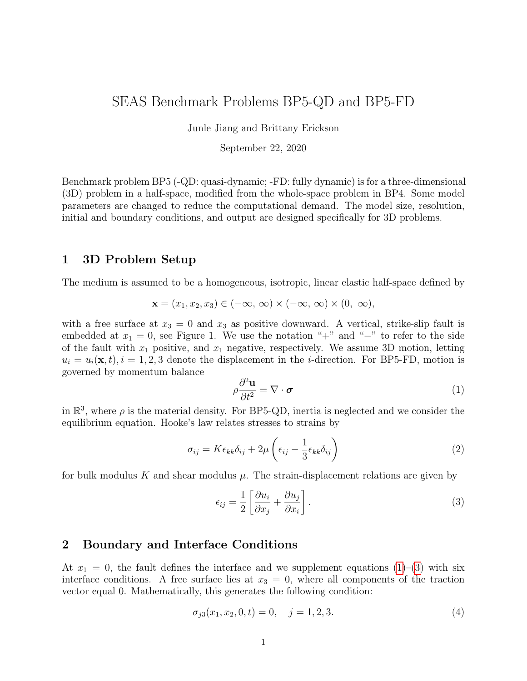| File Section | Description                                                                                |
|--------------|--------------------------------------------------------------------------------------------|
| File Header  | A series of lines, each beginning with a $#$ symbol, that give the following               |
|              | information:                                                                               |
|              | • Benchmark problem $(BP5-QD)$                                                             |
|              | Modeler                                                                                    |
|              | Date                                                                                       |
|              | Code                                                                                       |
|              | Code version (if desired)                                                                  |
|              | Node spacing or element size                                                               |
|              | • Descriptions of data fields $(4 \text{ lines})$                                          |
|              | Anything else you think is relevant (e.g. computational domain size)                       |
| Field List   | Four lines. The first line lists either $x_2$ OR $x_3$ . The next two lines lists the time |
|              | steps and max slip rate (respectively). The last line lists which component of             |
|              | slip or stress. It should be:                                                              |
|              | $x2$ OR $x3$                                                                               |
|              | t                                                                                          |
|              | max_slip_rate                                                                              |
|              | slip <sub>-2</sub> OR slip <sub>-3</sub> OR stress <sub>-2</sub> OR stress <sub>-3</sub>   |
| Slip History | A series of lines that form a 2-dimensional array of rows and columns. The first           |
|              | row/line lists the numbers $0, 0$ (to maintain a consistent array size), followed          |
|              | by the spatial nodes with increasing distance along strike OR depth as you go              |
|              | across the row. Starting from the second row/line, each row/line contains time,            |
|              | maximum slip rate, and slip OR stress at all nodes at the time. These lines                |
|              | appear in order of increasing time (from top to bottom) and slip OR stress is              |
|              | recorded with increasing distance along strike or depth (from left to right).              |
|              | Make sure to use double-precision when saving all fields.                                  |
|              | $C/C++$ users: We recommend using 21.13E or 21.13e floating-point format                   |
|              | for the time field and 14.6E or 14.6e format for all other data fields.                    |
|              | Fortran users: We recommend using E22.14 or 1PE22.13 floating-point for-                   |
|              | mat for the time field and E15.7 or 1PE15.6 format for other data fields.                  |

Note that  $x_2$  or  $x_3$  should appear in the first row, preceded by two zero numbers, for nodes with a spacing of ∼1000 m. Time and maximum slip rate should appear as two single columns that start on the second row, with time increasing as you go down. Slip or stress history (the remaining block) is represented by a two-dimensional array with time increasing as you go down the rows/lines, and either  $x_2$  or  $x_3$  increasing as you go across the columns (∼77 and 41 columns, respectively). For example, the output in slip 2 strike.dat is a two-dimensional matrix of the form:

$$
\begin{bmatrix} 0 & 0 & x_2 \ T & \max(V) & \text{slip} \end{bmatrix}
$$

The matrix should be of size  $(N_t + 1, \sim 79)$ , where  $N_t$  is the total number of time steps. This means that you output slip at selected nodes at one time step and move on to the next time step. (To keep the file on the order of 10s of MB,  $N_t$  should be on the order of 10,000).

Here is an example of a slip-evolution file for slip 2 strike. dat, with invented data.

# This is the file header:

# problem=SEAS Benchmark BP5-QD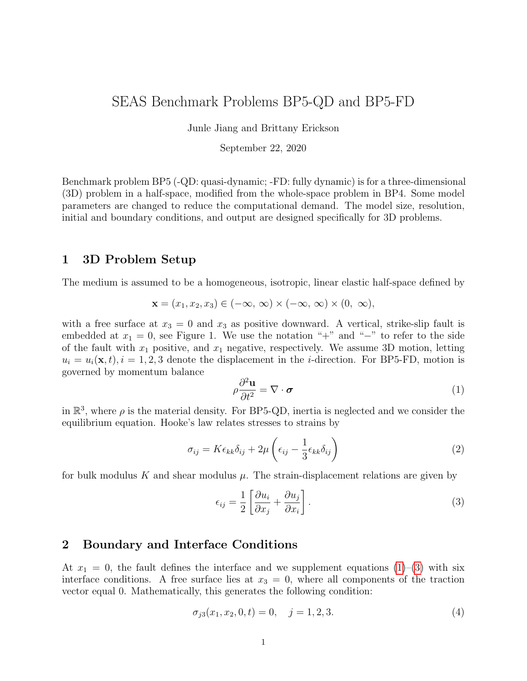```
# author=A.Modeler
# date=2019/12/01
# code=MyCode
# code version=3.7
# element_size=1000 m
# Row #1 = Strike (m) with two zeros first
# Column #1 = Time (s)
# Column #2 = Max slip rate (log10 m/s)# Columns #3-83 = Horizontal slip along depth (Slip 2) (m)
# Computational domain size: -100km < x1 < 100km, -100km < x2 < 100km, -100km < x3 < 100km
# The line below lists the names of the data fields
x2
t
max_slip_rate
slip 2
# Here are the data
0.000000E+00 0.000000E+00 -3.80000E+04 -3.70000E+04 ... 3.600000E+04
0.000000E+00 -9.000000E+00 0.000000E+00 0.000000E+00 ... 0.000000E+00
3.140000E+05 -9.000000E+00 1.340000E-05 1.340000E-05 ... 3.140000E-05
1.227000E+07 -9.000000E+00 1.560000E-05 1.560000E-05 ... 1.220000E-02
4.690000E+07 -9.000000E+00 1.580000E-05 1.580000E-05 ... 4.680000E-02
...
9.467078E+10 -4.500000E-01 9.050000E+01 9.050000E+01 ... 9.461000E+01
```
### <span id="page-15-0"></span>4.6 Rupture Time Contour Output

The rupture time contour output with a name rupture.dat is a single ASCII files that record the spatial distribution of arrival time of coseismic rupture front for the 1st earthquake in the simulation. We request the rupture time contour within a larger region that includes the VW zone,  $(|x_2| \leq l/2 + 2h_t) \cap (0 \leq x_3 \leq H + h_s + 3h_t)$  (shown in Fig. 2). At each node, the rupture time value is chosen as the first time instance when local slip rate amplitude reaches 1 mm/s. This data needs to be uploaded to the web server.

|  |  |  |  |  |  |  |  | Each data file has 3 data fields, as follows: |
|--|--|--|--|--|--|--|--|-----------------------------------------------|
|--|--|--|--|--|--|--|--|-----------------------------------------------|

| Field Name     | Description, Units and Sign Convention                                           |
|----------------|----------------------------------------------------------------------------------|
| x <sub>2</sub> | Distance along strike (m). Positive means a location to the right of the origin. |
|                | The values range from $-34 \text{ km}$ to $34 \text{ km}$ .                      |
| x3             | Distance down-dip $(m)$ . Positive means a location below the origin. The values |
|                | range from $0 \text{ km}$ to $20 \text{ km}$ .                                   |
|                | Rupture time (s). This is the time at which slip rate first reaches a value      |
|                | greater than 1 mm/s. If this node never ruptures, use the value $1.0E+09$ .      |

The data output consists of three sections, as follows: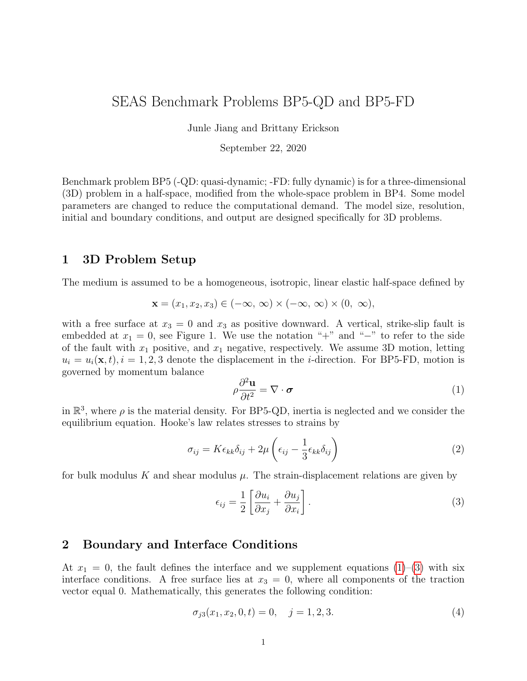| File Section    | Description                                                                      |  |  |  |  |  |
|-----------------|----------------------------------------------------------------------------------|--|--|--|--|--|
| File Header     | A series of lines, each beginning with a $#$ symbol, that give the following     |  |  |  |  |  |
|                 | information:                                                                     |  |  |  |  |  |
|                 | • Benchmark problem $(BP5-QD)$                                                   |  |  |  |  |  |
|                 | Modeler                                                                          |  |  |  |  |  |
|                 | Date                                                                             |  |  |  |  |  |
|                 | $\bullet$ Code                                                                   |  |  |  |  |  |
|                 | • Code version (if desired)                                                      |  |  |  |  |  |
|                 | • Node spacing or element size                                                   |  |  |  |  |  |
|                 | • Descriptions of data fields $(1 \text{ line})$                                 |  |  |  |  |  |
|                 | • Anything else you think is relevant (e.g. computational domain size)           |  |  |  |  |  |
| Field List      | A single line, which lists the names of the 3 data fields on one line, separated |  |  |  |  |  |
|                 | by spaces. It should be:                                                         |  |  |  |  |  |
|                 | $x2 \times 3$ t (on one line).                                                   |  |  |  |  |  |
| Rupture History | A series of lines. Each line contains three numbers, which give the $(x2,x3)$    |  |  |  |  |  |
|                 | coordinates of a node on the fault surface, and the time t at which that node    |  |  |  |  |  |
|                 | ruptures.                                                                        |  |  |  |  |  |
|                 | Make sure to use double-precision when saving all fields.                        |  |  |  |  |  |
|                 | $C/C++$ users: We recommend using 21.13E or 21.13e floating-point format.        |  |  |  |  |  |
|                 | <b>Fortran users:</b> We recommend using E22.14 or 1PE22.13 floating-point for-  |  |  |  |  |  |
|                 | mat.                                                                             |  |  |  |  |  |
|                 | If a node never ruptures, the time should be given as $1.0E+09$ .                |  |  |  |  |  |

Note: The nodes may appear in any order. The nodes do not have to form a rectangular grid, or any other regular pattern.

Note: When you upload a file, the server constructs the Delaunay triangulation of your nodes. Then, it uses the Delaunay triangulation to interpolate the rupture times over the entire fault surface. Finally, it uses the interpolated rupture times to draw a series of contour curves at intervals of 0.5 seconds.

Here is an example of a rupture time file, with invented data.

```
# This is the file header:
# problem=SEAS Benchmark BP5-QD
# author=A.Modeler
# date=2019/12/01
# code=MyCode
# code version=3.7
# element_size=1000 m
# Column #1 = x2 (m)
# Column #2 = x3 (m)
# Column #3 = time (s)
# Computational domain size: depth 100 km, distance off fault 100 km
# The line below lists the names of the data fields
x2 x3 t
# Here are the data
-3.40000E+04 0.000000E+04 0.000000E+00
```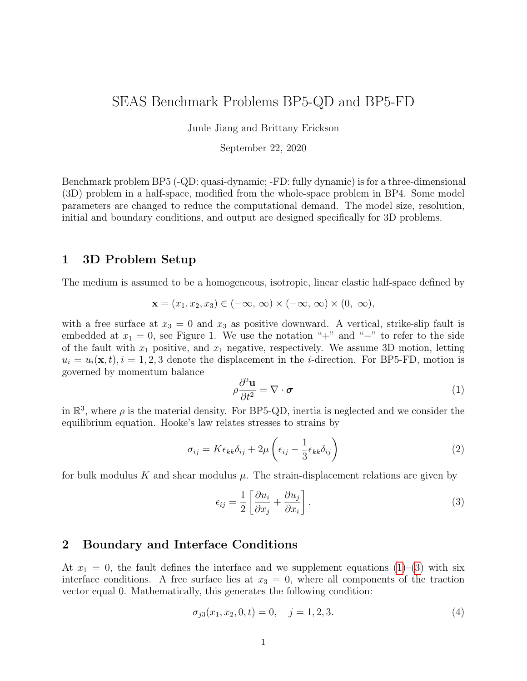```
-3.30000E+04 0.100000E+04 3.140000E+05
3.000000E+04 4.200000E+04 6.440000E+06
3.000000E+04 4.000000E+04 3.140000E+06
4.000000E+04 5.100000E+04 2.140000E+06
4.000000E+04 5.200000E+04 1.400000E+06
# \dots and so on.
```
### <span id="page-17-0"></span>5 Using the Web Server

The web server lets you upload your modeling results (section 4). Once uploaded, you and other modelers can view the data in various ways.

#### 5.1 Logging in and Selecting a Problem

To log in, start your web browser and go to the home page at:

<https://strike.scec.org/cvws/cgi-bin/seas.cgi>

Click on "Upload Files," and then log in using your user name and password. Remember that passwords are case-sensitive. You are then presented with a list of code validation problems. Find the problem you want, and click the "Select" button. You will then see a list of files for the problem.

#### 5.2 Navigating the Site

You navigate through the site by clicking buttons on the web pages. Avoid using your browser's Back or Forward buttons. If you use the Back or Forward buttons, you may get error messages from your browser.

#### 5.3 Uploading Files

To upload a file, do the following steps:

- Find the file you want to upload, and click "Select." The server displays a page for you to upload the file.
- Select the data file on your computer. The exact method for file selection varies depending on operating system and web browser.
- Click on "Click Once to Upload." The file you selected is uploaded to the server.

When you upload a file, the web server immediately checks for correct formatting. There are three possible results:

- If the file is correctly formatted, the server displays a page noting the successful upload.
- If the file contains errors, the server displays an error log. The error log lists the errors that were detected in the file, each identified as specifically as possible.